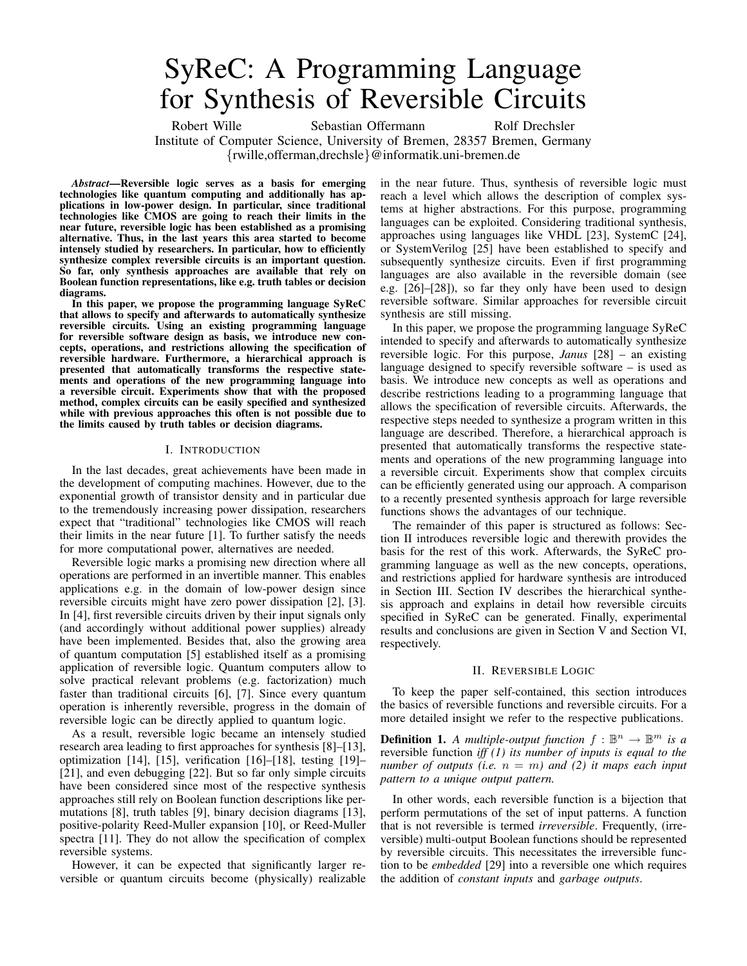# SyReC: A Programming Language for Synthesis of Reversible Circuits

Robert Wille Sebastian Offermann Rolf Drechsler Institute of Computer Science, University of Bremen, 28357 Bremen, Germany {rwille,offerman,drechsle}@informatik.uni-bremen.de

*Abstract*—Reversible logic serves as a basis for emerging technologies like quantum computing and additionally has applications in low-power design. In particular, since traditional technologies like CMOS are going to reach their limits in the near future, reversible logic has been established as a promising alternative. Thus, in the last years this area started to become intensely studied by researchers. In particular, how to efficiently synthesize complex reversible circuits is an important question. So far, only synthesis approaches are available that rely on Boolean function representations, like e.g. truth tables or decision diagrams.

In this paper, we propose the programming language SyReC that allows to specify and afterwards to automatically synthesize reversible circuits. Using an existing programming language for reversible software design as basis, we introduce new concepts, operations, and restrictions allowing the specification of reversible hardware. Furthermore, a hierarchical approach is presented that automatically transforms the respective statements and operations of the new programming language into a reversible circuit. Experiments show that with the proposed method, complex circuits can be easily specified and synthesized while with previous approaches this often is not possible due to the limits caused by truth tables or decision diagrams.

## I. INTRODUCTION

In the last decades, great achievements have been made in the development of computing machines. However, due to the exponential growth of transistor density and in particular due to the tremendously increasing power dissipation, researchers expect that "traditional" technologies like CMOS will reach their limits in the near future [1]. To further satisfy the needs for more computational power, alternatives are needed.

Reversible logic marks a promising new direction where all operations are performed in an invertible manner. This enables applications e.g. in the domain of low-power design since reversible circuits might have zero power dissipation [2], [3]. In [4], first reversible circuits driven by their input signals only (and accordingly without additional power supplies) already have been implemented. Besides that, also the growing area of quantum computation [5] established itself as a promising application of reversible logic. Quantum computers allow to solve practical relevant problems (e.g. factorization) much faster than traditional circuits [6], [7]. Since every quantum operation is inherently reversible, progress in the domain of reversible logic can be directly applied to quantum logic.

As a result, reversible logic became an intensely studied research area leading to first approaches for synthesis [8]–[13], optimization [14], [15], verification [16]–[18], testing [19]– [21], and even debugging [22]. But so far only simple circuits have been considered since most of the respective synthesis approaches still rely on Boolean function descriptions like permutations [8], truth tables [9], binary decision diagrams [13], positive-polarity Reed-Muller expansion [10], or Reed-Muller spectra [11]. They do not allow the specification of complex reversible systems.

However, it can be expected that significantly larger reversible or quantum circuits become (physically) realizable in the near future. Thus, synthesis of reversible logic must reach a level which allows the description of complex systems at higher abstractions. For this purpose, programming languages can be exploited. Considering traditional synthesis, approaches using languages like VHDL [23], SystemC [24], or SystemVerilog [25] have been established to specify and subsequently synthesize circuits. Even if first programming languages are also available in the reversible domain (see e.g. [26]–[28]), so far they only have been used to design reversible software. Similar approaches for reversible circuit synthesis are still missing.

In this paper, we propose the programming language SyReC intended to specify and afterwards to automatically synthesize reversible logic. For this purpose, *Janus* [28] – an existing language designed to specify reversible software – is used as basis. We introduce new concepts as well as operations and describe restrictions leading to a programming language that allows the specification of reversible circuits. Afterwards, the respective steps needed to synthesize a program written in this language are described. Therefore, a hierarchical approach is presented that automatically transforms the respective statements and operations of the new programming language into a reversible circuit. Experiments show that complex circuits can be efficiently generated using our approach. A comparison to a recently presented synthesis approach for large reversible functions shows the advantages of our technique.

The remainder of this paper is structured as follows: Section II introduces reversible logic and therewith provides the basis for the rest of this work. Afterwards, the SyReC programming language as well as the new concepts, operations, and restrictions applied for hardware synthesis are introduced in Section III. Section IV describes the hierarchical synthesis approach and explains in detail how reversible circuits specified in SyReC can be generated. Finally, experimental results and conclusions are given in Section V and Section VI, respectively.

## II. REVERSIBLE LOGIC

To keep the paper self-contained, this section introduces the basics of reversible functions and reversible circuits. For a more detailed insight we refer to the respective publications.

**Definition 1.** A multiple-output function  $f : \mathbb{B}^n \to \mathbb{B}^m$  is a reversible function *iff (1) its number of inputs is equal to the number of outputs (i.e.*  $n = m$ *) and (2) it maps each input pattern to a unique output pattern.*

In other words, each reversible function is a bijection that perform permutations of the set of input patterns. A function that is not reversible is termed *irreversible*. Frequently, (irreversible) multi-output Boolean functions should be represented by reversible circuits. This necessitates the irreversible function to be *embedded* [29] into a reversible one which requires the addition of *constant inputs* and *garbage outputs*.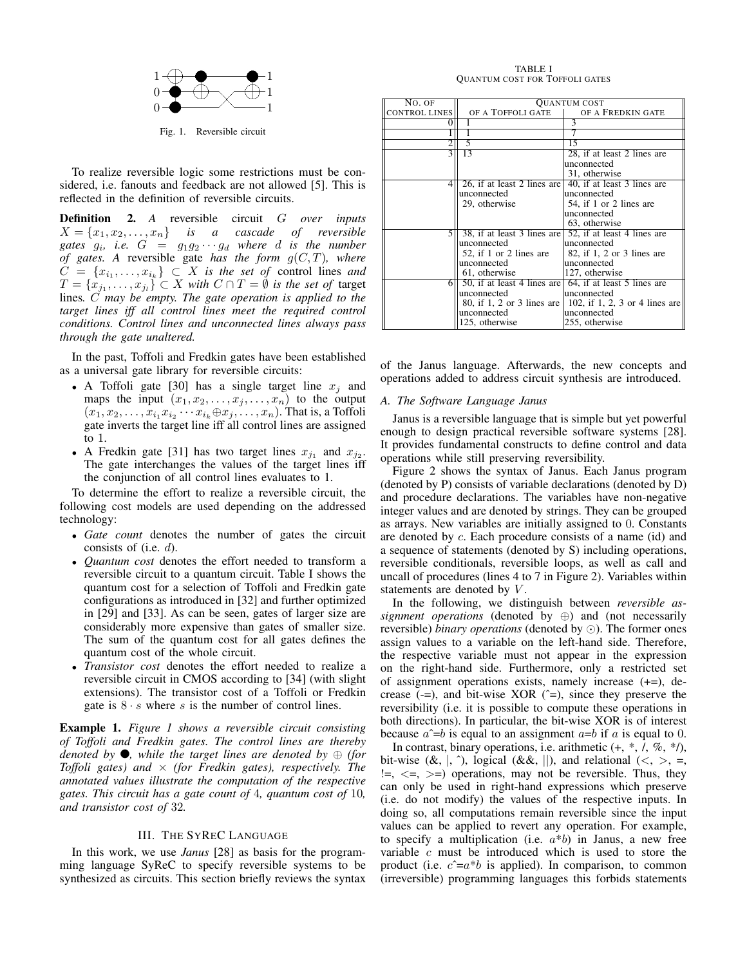

To realize reversible logic some restrictions must be considered, i.e. fanouts and feedback are not allowed [5]. This is reflected in the definition of reversible circuits.

Definition 2. *A* reversible circuit G *over inputs*  $X = \{x_1, x_2, \ldots, x_n\}$  *is a cascade of reversible* gates  $g_i$ , *i.e.*  $G = g_1 g_2 \cdots g_d$  where d is the number *of gates. A reversible gate has the form*  $g(C, T)$ *, where*  $C = \{x_{i_1}, \ldots, x_{i_k}\} \subset X$  *is the set of* control lines *and*  $T = \{x_{j_1}, \ldots, x_{j_l}\} \subset X$  *with*  $C \cap T = \emptyset$  *is the set of* target lines*.* C *may be empty. The gate operation is applied to the target lines iff all control lines meet the required control conditions. Control lines and unconnected lines always pass through the gate unaltered.*

In the past, Toffoli and Fredkin gates have been established as a universal gate library for reversible circuits:

- A Toffoli gate [30] has a single target line  $x_i$  and maps the input  $(x_1, x_2, \ldots, x_j, \ldots, x_n)$  to the output  $(x_1, x_2, \ldots, x_{i_1} x_{i_2} \cdots x_{i_k} \oplus x_j, \ldots, x_n)$ . That is, a Toffoli gate inverts the target line iff all control lines are assigned to 1.
- A Fredkin gate [31] has two target lines  $x_{j_1}$  and  $x_{j_2}$ . The gate interchanges the values of the target lines iff the conjunction of all control lines evaluates to 1.

To determine the effort to realize a reversible circuit, the following cost models are used depending on the addressed technology:

- *Gate count* denotes the number of gates the circuit consists of (i.e. d).
- *Quantum cost* denotes the effort needed to transform a reversible circuit to a quantum circuit. Table I shows the quantum cost for a selection of Toffoli and Fredkin gate configurations as introduced in [32] and further optimized in [29] and [33]. As can be seen, gates of larger size are considerably more expensive than gates of smaller size. The sum of the quantum cost for all gates defines the quantum cost of the whole circuit.
- *Transistor cost* denotes the effort needed to realize a reversible circuit in CMOS according to [34] (with slight extensions). The transistor cost of a Toffoli or Fredkin gate is  $8 \cdot s$  where s is the number of control lines.

Example 1. *Figure 1 shows a reversible circuit consisting of Toffoli and Fredkin gates. The control lines are thereby denoted by*  $\bullet$ *, while the target lines are denoted by*  $\oplus$  *(for Toffoli gates) and* × *(for Fredkin gates), respectively. The annotated values illustrate the computation of the respective gates. This circuit has a gate count of* 4*, quantum cost of* 10*, and transistor cost of* 32*.*

## III. THE SYREC LANGUAGE

In this work, we use *Janus* [28] as basis for the programming language SyReC to specify reversible systems to be synthesized as circuits. This section briefly reviews the syntax

TABLE I QUANTUM COST FOR TOFFOLI GATES

| $\overline{{\rm No.~OF}}$ | <b>QUANTUM COST</b>                                     |                                                             |  |  |  |
|---------------------------|---------------------------------------------------------|-------------------------------------------------------------|--|--|--|
| <b>CONTROL LINES</b>      | OF A TOFFOLI GATE                                       | OF A FREDKIN GATE                                           |  |  |  |
| 0                         |                                                         | 3                                                           |  |  |  |
|                           |                                                         |                                                             |  |  |  |
| 2                         | 5                                                       | 15                                                          |  |  |  |
|                           | 13                                                      | 28, if at least 2 lines are                                 |  |  |  |
|                           |                                                         | unconnected                                                 |  |  |  |
|                           |                                                         | 31, otherwise                                               |  |  |  |
| 4                         | 26, if at least 2 lines are                             | 40, if at least 3 lines are                                 |  |  |  |
|                           | unconnected                                             | unconnected                                                 |  |  |  |
|                           | 29, otherwise                                           | 54, if 1 or 2 lines are                                     |  |  |  |
|                           |                                                         | unconnected                                                 |  |  |  |
|                           |                                                         | 63, otherwise                                               |  |  |  |
| 51                        | 38, if at least 3 lines are                             | 52, if at least 4 lines are                                 |  |  |  |
|                           | unconnected                                             | unconnected                                                 |  |  |  |
|                           | 52, if 1 or 2 lines are                                 | 82, if 1, 2 or 3 lines are                                  |  |  |  |
|                           | unconnected                                             | unconnected                                                 |  |  |  |
|                           | 61, otherwise                                           | 127. otherwise                                              |  |  |  |
| 611                       | 50, if at least 4 lines are 64, if at least 5 lines are |                                                             |  |  |  |
|                           | unconnected                                             | unconnected                                                 |  |  |  |
|                           |                                                         | 80, if 1, 2 or 3 lines are   102, if 1, 2, 3 or 4 lines are |  |  |  |
|                           | unconnected                                             | unconnected                                                 |  |  |  |
|                           | 125, otherwise                                          | 255, otherwise                                              |  |  |  |

of the Janus language. Afterwards, the new concepts and operations added to address circuit synthesis are introduced.

### *A. The Software Language Janus*

Janus is a reversible language that is simple but yet powerful enough to design practical reversible software systems [28]. It provides fundamental constructs to define control and data operations while still preserving reversibility.

Figure 2 shows the syntax of Janus. Each Janus program (denoted by P) consists of variable declarations (denoted by D) and procedure declarations. The variables have non-negative integer values and are denoted by strings. They can be grouped as arrays. New variables are initially assigned to 0. Constants are denoted by c. Each procedure consists of a name (id) and a sequence of statements (denoted by S) including operations, reversible conditionals, reversible loops, as well as call and uncall of procedures (lines 4 to 7 in Figure 2). Variables within statements are denoted by  $V$ .

In the following, we distinguish between *reversible assignment operations* (denoted by ⊕) and (not necessarily reversible) *binary operations* (denoted by ). The former ones assign values to a variable on the left-hand side. Therefore, the respective variable must not appear in the expression on the right-hand side. Furthermore, only a restricted set of assignment operations exists, namely increase (+=), decrease  $(-z)$ , and bit-wise XOR  $(z)$ , since they preserve the reversibility (i.e. it is possible to compute these operations in both directions). In particular, the bit-wise XOR is of interest because  $a^2=b$  is equal to an assignment  $a=b$  if a is equal to 0.

In contrast, binary operations, i.e. arithmetic  $(+, *, ', %, *,'),$ bit-wise  $(\&$ ,  $\vert$ ,  $\hat{ }$ ), logical  $(\&\&$ ,  $\vert$ ), and relational  $(<, >, =,$  $!=, \leq, \leq)$  operations, may not be reversible. Thus, they can only be used in right-hand expressions which preserve (i.e. do not modify) the values of the respective inputs. In doing so, all computations remain reversible since the input values can be applied to revert any operation. For example, to specify a multiplication (i.e.  $a * b$ ) in Janus, a new free variable  $c$  must be introduced which is used to store the product (i.e.  $c^2 = a^*b$  is applied). In comparison, to common (irreversible) programming languages this forbids statements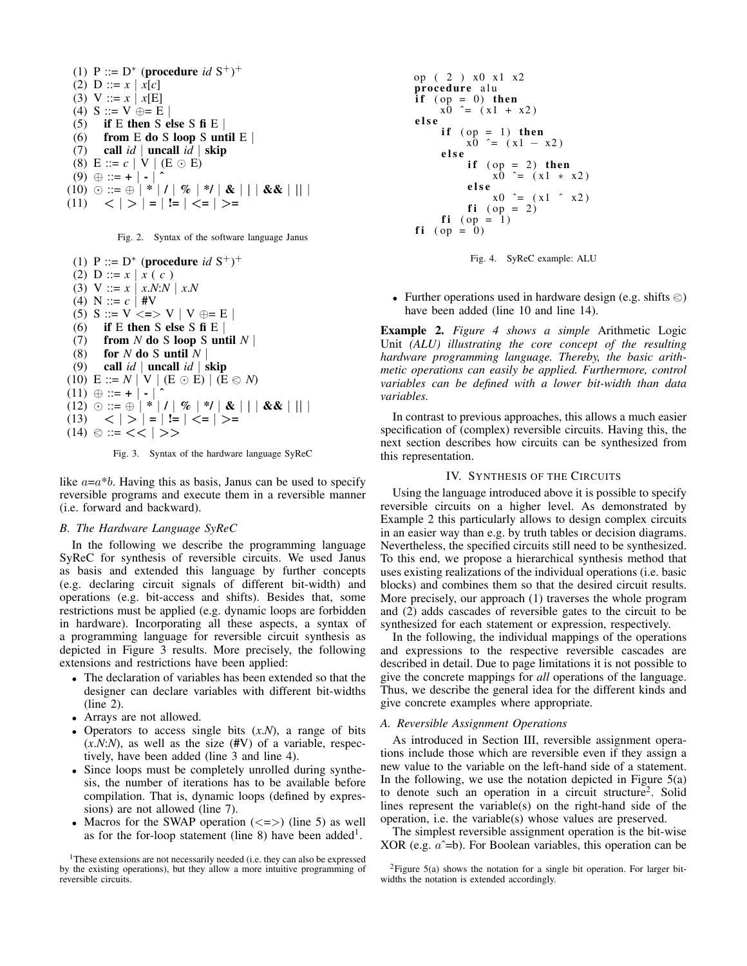```
(1) P ::= D<sup>*</sup> (procedure id S<sup>+</sup>)<sup>+</sup>
 (2) D ::= x | x[c](3) V ::= x | x[E](4) S ::= V \oplus E |
 (5) if E then S else S fi E \vert(6) from E do S loop S until E \mid(7) call id | uncall id | skip
 (8) E ::= c | V | (E \odot E)
 (9) \oplus ::= + | \cdot |(10) \odot ::= \oplus | * | / | % | */ | & | | | && | || |
(11) \le | > | = | ! = | < = | > =
```
Fig. 2. Syntax of the software language Janus

```
(1) P ::= D<sup>*</sup> (procedure id S<sup>+</sup>)<sup>+</sup>
 (2) D ::= x | x (c)(3) V ::= x | x.N:N | x.N(4) N ::= c \mid #V(5) S ::= V <=> V | V ⊕= E |
 (6) if E then S else S fi E (7) from N do S loop S un
        (7) from N do S loop S until N |
 (8) for N do S until N(9) call id | uncall id | skip
(10) E ::= N | V | (E \odot E) | (E \otimes N)(11) \oplus ::= + | \cdot |(12) \odot ::= \oplus | * | / | % | */ | & | | | && | || |
(13) \leq | > | = |! = | < = | > =(14) \otimes ::= \lt\lt \mid \gt\gt
```
Fig. 3. Syntax of the hardware language SyReC

like  $a=a*b$ . Having this as basis, Janus can be used to specify reversible programs and execute them in a reversible manner (i.e. forward and backward).

## *B. The Hardware Language SyReC*

In the following we describe the programming language SyReC for synthesis of reversible circuits. We used Janus as basis and extended this language by further concepts (e.g. declaring circuit signals of different bit-width) and operations (e.g. bit-access and shifts). Besides that, some restrictions must be applied (e.g. dynamic loops are forbidden in hardware). Incorporating all these aspects, a syntax of a programming language for reversible circuit synthesis as depicted in Figure 3 results. More precisely, the following extensions and restrictions have been applied:

- The declaration of variables has been extended so that the designer can declare variables with different bit-widths (line 2).
- Arrays are not allowed.
- Operators to access single bits (*x*.*N*), a range of bits  $(x.N:N)$ , as well as the size  $(HV)$  of a variable, respectively, have been added (line 3 and line 4).
- Since loops must be completely unrolled during synthesis, the number of iterations has to be available before compilation. That is, dynamic loops (defined by expressions) are not allowed (line 7).
- Macros for the SWAP operation  $(\leq>)$  (line 5) as well as for the for-loop statement (line 8) have been added<sup>1</sup>.

```
op ( 2 ) x0 x1 x2
procedure alu
if (op = 0) then
     x0 \approx (x1 + x2)e l s e
     if (op = 1) then
         x0 = (x1 - x2)e l s e
         if (op = 2) then
              x0 = (x1 + x2)e l s e
              x0 \approx (x1 \times x2)fi ( op = 2 )
    fi ( op = 1 )
fi ( op = 0 )
```


• Further operations used in hardware design (e.g. shifts  $\otimes$ ) have been added (line 10 and line 14).

Example 2. *Figure 4 shows a simple* Arithmetic Logic Unit *(ALU) illustrating the core concept of the resulting hardware programming language. Thereby, the basic arithmetic operations can easily be applied. Furthermore, control variables can be defined with a lower bit-width than data variables.*

In contrast to previous approaches, this allows a much easier specification of (complex) reversible circuits. Having this, the next section describes how circuits can be synthesized from this representation.

## IV. SYNTHESIS OF THE CIRCUITS

Using the language introduced above it is possible to specify reversible circuits on a higher level. As demonstrated by Example 2 this particularly allows to design complex circuits in an easier way than e.g. by truth tables or decision diagrams. Nevertheless, the specified circuits still need to be synthesized. To this end, we propose a hierarchical synthesis method that uses existing realizations of the individual operations (i.e. basic blocks) and combines them so that the desired circuit results. More precisely, our approach (1) traverses the whole program and (2) adds cascades of reversible gates to the circuit to be synthesized for each statement or expression, respectively.

In the following, the individual mappings of the operations and expressions to the respective reversible cascades are described in detail. Due to page limitations it is not possible to give the concrete mappings for *all* operations of the language. Thus, we describe the general idea for the different kinds and give concrete examples where appropriate.

#### *A. Reversible Assignment Operations*

As introduced in Section III, reversible assignment operations include those which are reversible even if they assign a new value to the variable on the left-hand side of a statement. In the following, we use the notation depicted in Figure  $5(a)$ to denote such an operation in a circuit structure<sup>2</sup>. Solid lines represent the variable(s) on the right-hand side of the operation, i.e. the variable(s) whose values are preserved.

The simplest reversible assignment operation is the bit-wise XOR (e.g.  $a^2 = b$ ). For Boolean variables, this operation can be

<sup>&</sup>lt;sup>1</sup>These extensions are not necessarily needed (i.e. they can also be expressed by the existing operations), but they allow a more intuitive programming of reversible circuits.

<sup>&</sup>lt;sup>2</sup>Figure 5(a) shows the notation for a single bit operation. For larger bitwidths the notation is extended accordingly.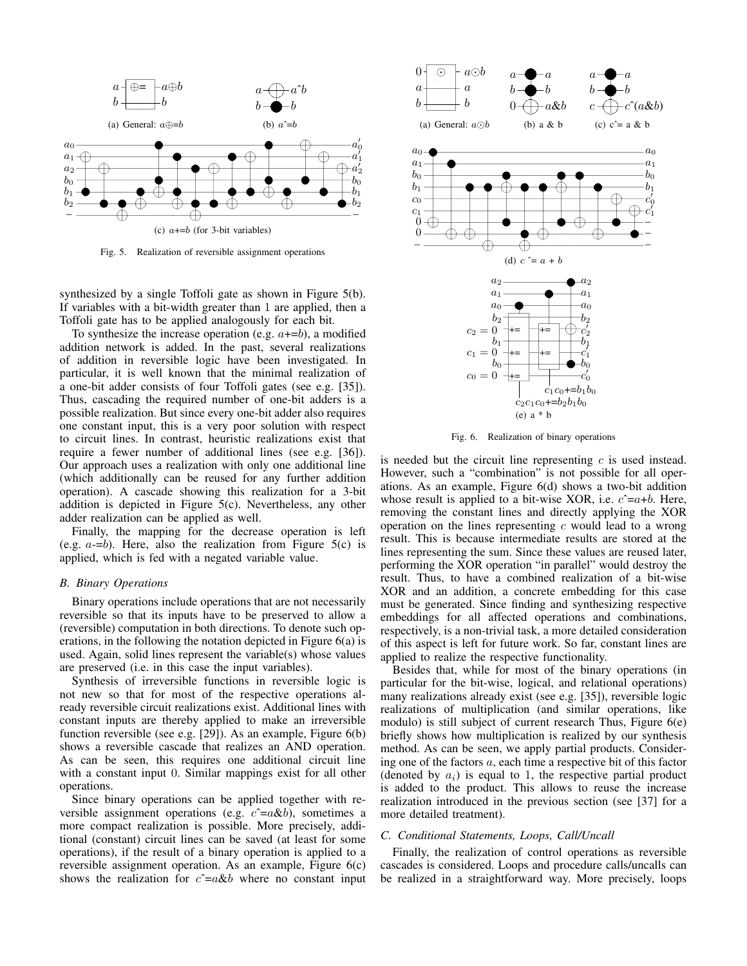

Fig. 5. Realization of reversible assignment operations

synthesized by a single Toffoli gate as shown in Figure 5(b). If variables with a bit-width greater than 1 are applied, then a Toffoli gate has to be applied analogously for each bit.

To synthesize the increase operation (e.g.  $a+=b$ ), a modified addition network is added. In the past, several realizations of addition in reversible logic have been investigated. In particular, it is well known that the minimal realization of a one-bit adder consists of four Toffoli gates (see e.g. [35]). Thus, cascading the required number of one-bit adders is a possible realization. But since every one-bit adder also requires one constant input, this is a very poor solution with respect to circuit lines. In contrast, heuristic realizations exist that require a fewer number of additional lines (see e.g. [36]). Our approach uses a realization with only one additional line (which additionally can be reused for any further addition operation). A cascade showing this realization for a 3-bit addition is depicted in Figure 5(c). Nevertheless, any other adder realization can be applied as well.

Finally, the mapping for the decrease operation is left (e.g.  $a=$ b). Here, also the realization from Figure 5(c) is applied, which is fed with a negated variable value.

## *B. Binary Operations*

Binary operations include operations that are not necessarily reversible so that its inputs have to be preserved to allow a (reversible) computation in both directions. To denote such operations, in the following the notation depicted in Figure 6(a) is used. Again, solid lines represent the variable(s) whose values are preserved (i.e. in this case the input variables).

Synthesis of irreversible functions in reversible logic is not new so that for most of the respective operations already reversible circuit realizations exist. Additional lines with constant inputs are thereby applied to make an irreversible function reversible (see e.g. [29]). As an example, Figure 6(b) shows a reversible cascade that realizes an AND operation. As can be seen, this requires one additional circuit line with a constant input 0. Similar mappings exist for all other operations.

Since binary operations can be applied together with reversible assignment operations (e.g.  $c^2 = a \& b$ ), sometimes a more compact realization is possible. More precisely, additional (constant) circuit lines can be saved (at least for some operations), if the result of a binary operation is applied to a reversible assignment operation. As an example, Figure 6(c) shows the realization for  $c<sup>2</sup>=a\&b$  where no constant input



Fig. 6. Realization of binary operations

is needed but the circuit line representing  $c$  is used instead. However, such a "combination" is not possible for all operations. As an example, Figure 6(d) shows a two-bit addition whose result is applied to a bit-wise XOR, i.e.  $c^{\text{-}} = a+b$ . Here, removing the constant lines and directly applying the XOR operation on the lines representing  $c$  would lead to a wrong result. This is because intermediate results are stored at the lines representing the sum. Since these values are reused later, performing the XOR operation "in parallel" would destroy the result. Thus, to have a combined realization of a bit-wise XOR and an addition, a concrete embedding for this case must be generated. Since finding and synthesizing respective embeddings for all affected operations and combinations, respectively, is a non-trivial task, a more detailed consideration of this aspect is left for future work. So far, constant lines are applied to realize the respective functionality.

Besides that, while for most of the binary operations (in particular for the bit-wise, logical, and relational operations) many realizations already exist (see e.g. [35]), reversible logic realizations of multiplication (and similar operations, like modulo) is still subject of current research Thus, Figure 6(e) briefly shows how multiplication is realized by our synthesis method. As can be seen, we apply partial products. Considering one of the factors  $a$ , each time a respective bit of this factor (denoted by  $a_i$ ) is equal to 1, the respective partial product is added to the product. This allows to reuse the increase realization introduced in the previous section (see [37] for a more detailed treatment).

### *C. Conditional Statements, Loops, Call/Uncall*

Finally, the realization of control operations as reversible cascades is considered. Loops and procedure calls/uncalls can be realized in a straightforward way. More precisely, loops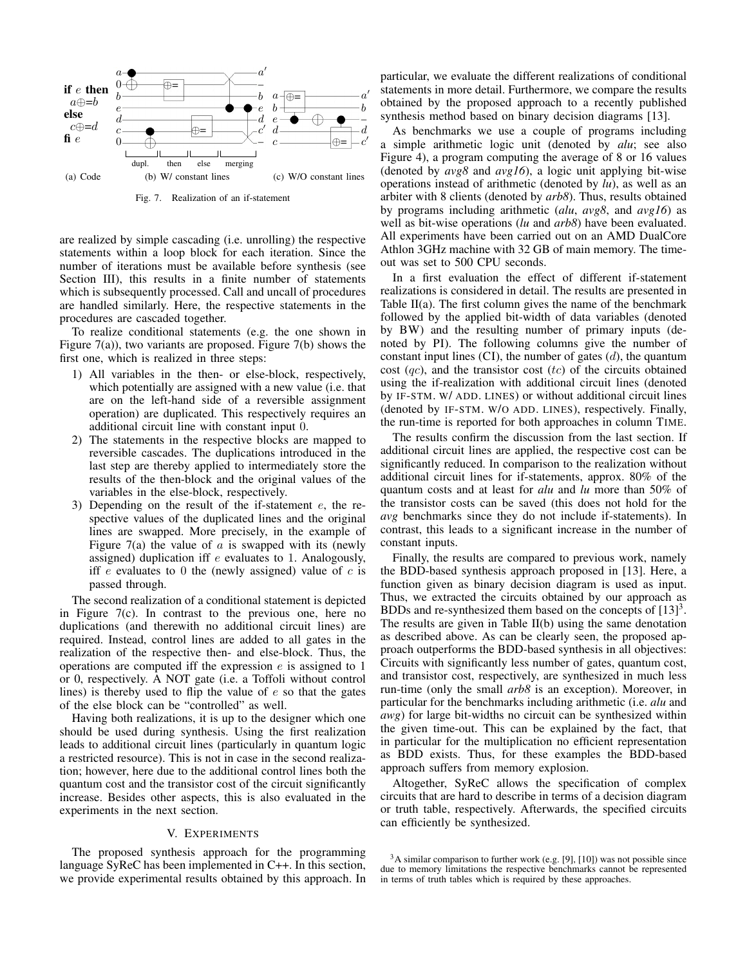

Fig. 7. Realization of an if-statement

are realized by simple cascading (i.e. unrolling) the respective statements within a loop block for each iteration. Since the number of iterations must be available before synthesis (see Section III), this results in a finite number of statements which is subsequently processed. Call and uncall of procedures are handled similarly. Here, the respective statements in the procedures are cascaded together.

To realize conditional statements (e.g. the one shown in Figure  $7(a)$ ), two variants are proposed. Figure  $7(b)$  shows the first one, which is realized in three steps:

- 1) All variables in the then- or else-block, respectively, which potentially are assigned with a new value (i.e. that are on the left-hand side of a reversible assignment operation) are duplicated. This respectively requires an additional circuit line with constant input 0.
- 2) The statements in the respective blocks are mapped to reversible cascades. The duplications introduced in the last step are thereby applied to intermediately store the results of the then-block and the original values of the variables in the else-block, respectively.
- 3) Depending on the result of the if-statement e, the respective values of the duplicated lines and the original lines are swapped. More precisely, in the example of Figure 7(a) the value of  $\alpha$  is swapped with its (newly assigned) duplication iff  $e$  evaluates to 1. Analogously, iff  $e$  evaluates to 0 the (newly assigned) value of  $c$  is passed through.

The second realization of a conditional statement is depicted in Figure 7(c). In contrast to the previous one, here no duplications (and therewith no additional circuit lines) are required. Instead, control lines are added to all gates in the realization of the respective then- and else-block. Thus, the operations are computed iff the expression  $e$  is assigned to 1 or 0, respectively. A NOT gate (i.e. a Toffoli without control lines) is thereby used to flip the value of  $e$  so that the gates of the else block can be "controlled" as well.

Having both realizations, it is up to the designer which one should be used during synthesis. Using the first realization leads to additional circuit lines (particularly in quantum logic a restricted resource). This is not in case in the second realization; however, here due to the additional control lines both the quantum cost and the transistor cost of the circuit significantly increase. Besides other aspects, this is also evaluated in the experiments in the next section.

## V. EXPERIMENTS

The proposed synthesis approach for the programming language SyReC has been implemented in C++. In this section, we provide experimental results obtained by this approach. In

particular, we evaluate the different realizations of conditional statements in more detail. Furthermore, we compare the results obtained by the proposed approach to a recently published synthesis method based on binary decision diagrams [13].

As benchmarks we use a couple of programs including a simple arithmetic logic unit (denoted by *alu*; see also Figure 4), a program computing the average of 8 or 16 values (denoted by *avg8* and *avg16*), a logic unit applying bit-wise operations instead of arithmetic (denoted by *lu*), as well as an arbiter with 8 clients (denoted by *arb8*). Thus, results obtained by programs including arithmetic (*alu*, *avg8*, and *avg16*) as well as bit-wise operations (*lu* and *arb8*) have been evaluated. All experiments have been carried out on an AMD DualCore Athlon 3GHz machine with 32 GB of main memory. The timeout was set to 500 CPU seconds.

In a first evaluation the effect of different if-statement realizations is considered in detail. The results are presented in Table II(a). The first column gives the name of the benchmark followed by the applied bit-width of data variables (denoted by BW) and the resulting number of primary inputs (denoted by PI). The following columns give the number of constant input lines  $(CI)$ , the number of gates  $(d)$ , the quantum cost  $(qc)$ , and the transistor cost  $(tc)$  of the circuits obtained using the if-realization with additional circuit lines (denoted by IF-STM. W/ ADD. LINES) or without additional circuit lines (denoted by IF-STM. W/O ADD. LINES), respectively. Finally, the run-time is reported for both approaches in column TIME.

The results confirm the discussion from the last section. If additional circuit lines are applied, the respective cost can be significantly reduced. In comparison to the realization without additional circuit lines for if-statements, approx. 80% of the quantum costs and at least for *alu* and *lu* more than 50% of the transistor costs can be saved (this does not hold for the *avg* benchmarks since they do not include if-statements). In contrast, this leads to a significant increase in the number of constant inputs.

Finally, the results are compared to previous work, namely the BDD-based synthesis approach proposed in [13]. Here, a function given as binary decision diagram is used as input. Thus, we extracted the circuits obtained by our approach as BDDs and re-synthesized them based on the concepts of  $[13]$ <sup>3</sup>. The results are given in Table II(b) using the same denotation as described above. As can be clearly seen, the proposed approach outperforms the BDD-based synthesis in all objectives: Circuits with significantly less number of gates, quantum cost, and transistor cost, respectively, are synthesized in much less run-time (only the small *arb8* is an exception). Moreover, in particular for the benchmarks including arithmetic (i.e. *alu* and *awg*) for large bit-widths no circuit can be synthesized within the given time-out. This can be explained by the fact, that in particular for the multiplication no efficient representation as BDD exists. Thus, for these examples the BDD-based approach suffers from memory explosion.

Altogether, SyReC allows the specification of complex circuits that are hard to describe in terms of a decision diagram or truth table, respectively. Afterwards, the specified circuits can efficiently be synthesized.

<sup>3</sup>A similar comparison to further work (e.g. [9], [10]) was not possible since due to memory limitations the respective benchmarks cannot be represented in terms of truth tables which is required by these approaches.